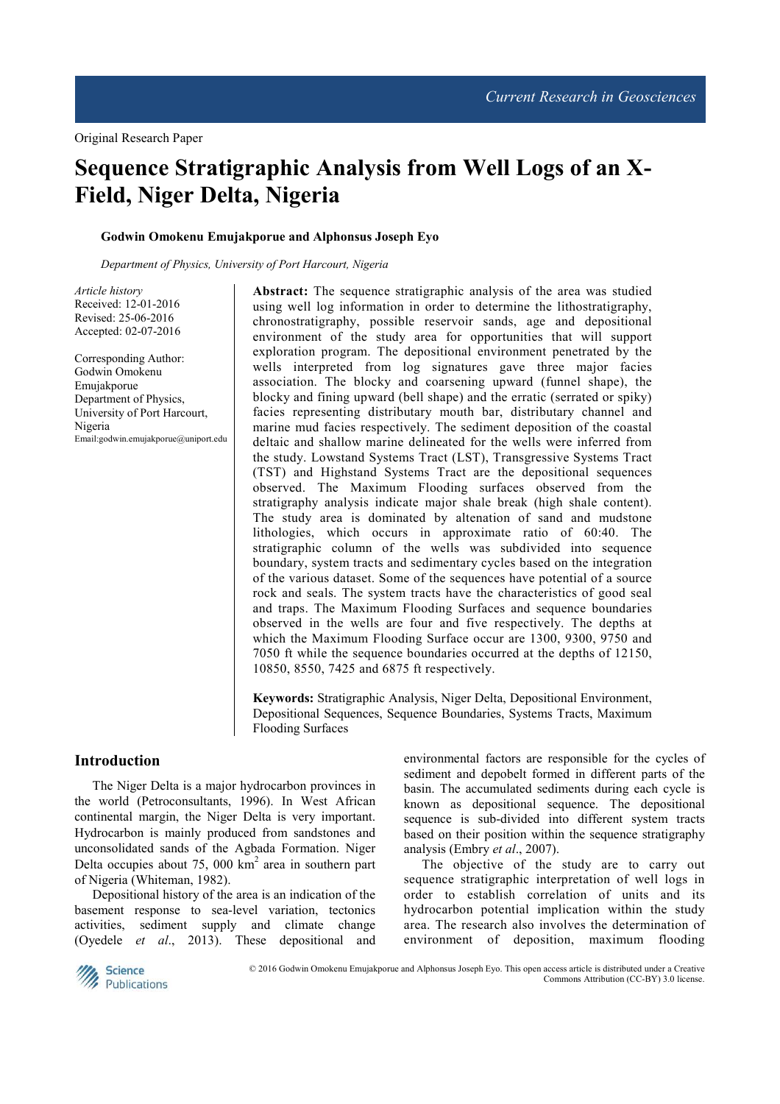# **Sequence Stratigraphic Analysis from Well Logs of an X-Field, Niger Delta, Nigeria**

# **Godwin Omokenu Emujakporue and Alphonsus Joseph Eyo**

*Department of Physics, University of Port Harcourt, Nigeria* 

*Article history*  Received: 12-01-2016 Revised: 25-06-2016 Accepted: 02-07-2016

Corresponding Author: Godwin Omokenu Emujakporue Department of Physics, University of Port Harcourt, Nigeria Email:godwin.emujakporue@uniport.edu **Abstract:** The sequence stratigraphic analysis of the area was studied using well log information in order to determine the lithostratigraphy, chronostratigraphy, possible reservoir sands, age and depositional environment of the study area for opportunities that will support exploration program. The depositional environment penetrated by the wells interpreted from log signatures gave three major facies association. The blocky and coarsening upward (funnel shape), the blocky and fining upward (bell shape) and the erratic (serrated or spiky) facies representing distributary mouth bar, distributary channel and marine mud facies respectively. The sediment deposition of the coastal deltaic and shallow marine delineated for the wells were inferred from the study. Lowstand Systems Tract (LST), Transgressive Systems Tract (TST) and Highstand Systems Tract are the depositional sequences observed. The Maximum Flooding surfaces observed from the stratigraphy analysis indicate major shale break (high shale content). The study area is dominated by altenation of sand and mudstone lithologies, which occurs in approximate ratio of 60:40. The stratigraphic column of the wells was subdivided into sequence boundary, system tracts and sedimentary cycles based on the integration of the various dataset. Some of the sequences have potential of a source rock and seals. The system tracts have the characteristics of good seal and traps. The Maximum Flooding Surfaces and sequence boundaries observed in the wells are four and five respectively. The depths at which the Maximum Flooding Surface occur are 1300, 9300, 9750 and 7050 ft while the sequence boundaries occurred at the depths of 12150, 10850, 8550, 7425 and 6875 ft respectively.

**Keywords:** Stratigraphic Analysis, Niger Delta, Depositional Environment, Depositional Sequences, Sequence Boundaries, Systems Tracts, Maximum Flooding Surfaces

#### **Introduction**

The Niger Delta is a major hydrocarbon provinces in the world (Petroconsultants, 1996). In West African continental margin, the Niger Delta is very important. Hydrocarbon is mainly produced from sandstones and unconsolidated sands of the Agbada Formation. Niger Delta occupies about  $75,000 \text{ km}^2$  area in southern part of Nigeria (Whiteman, 1982).

Depositional history of the area is an indication of the basement response to sea-level variation, tectonics activities, sediment supply and climate change (Oyedele *et al*., 2013). These depositional and

environmental factors are responsible for the cycles of sediment and depobelt formed in different parts of the basin. The accumulated sediments during each cycle is known as depositional sequence. The depositional sequence is sub-divided into different system tracts based on their position within the sequence stratigraphy analysis (Embry *et al*., 2007).

The objective of the study are to carry out sequence stratigraphic interpretation of well logs in order to establish correlation of units and its hydrocarbon potential implication within the study area. The research also involves the determination of environment of deposition, maximum flooding



© 2016 Godwin Omokenu Emujakporue and Alphonsus Joseph Eyo. This open access article is distributed under a Creative Commons Attribution (CC-BY) 3.0 license.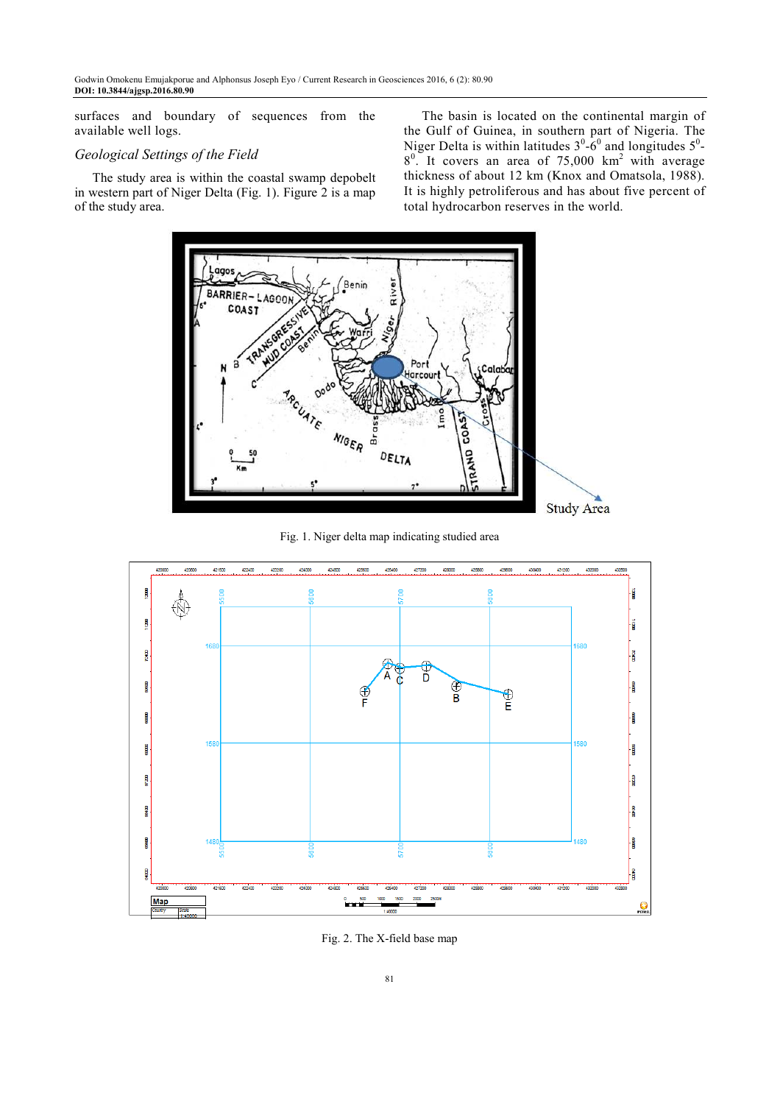surfaces and boundary of sequences from the available well logs.

# *Geological Settings of the Field*

The study area is within the coastal swamp depobelt in western part of Niger Delta (Fig. 1). Figure 2 is a map of the study area.

The basin is located on the continental margin of the Gulf of Guinea, in southern part of Nigeria. The Niger Delta is within latitudes  $3^0$ - $6^0$  and longitudes  $5^0$ - $8^\circ$ . It covers an area of 75,000 km<sup>2</sup> with average thickness of about 12 km (Knox and Omatsola, 1988). It is highly petroliferous and has about five percent of total hydrocarbon reserves in the world.



Fig. 1. Niger delta map indicating studied area



Fig. 2. The X-field base map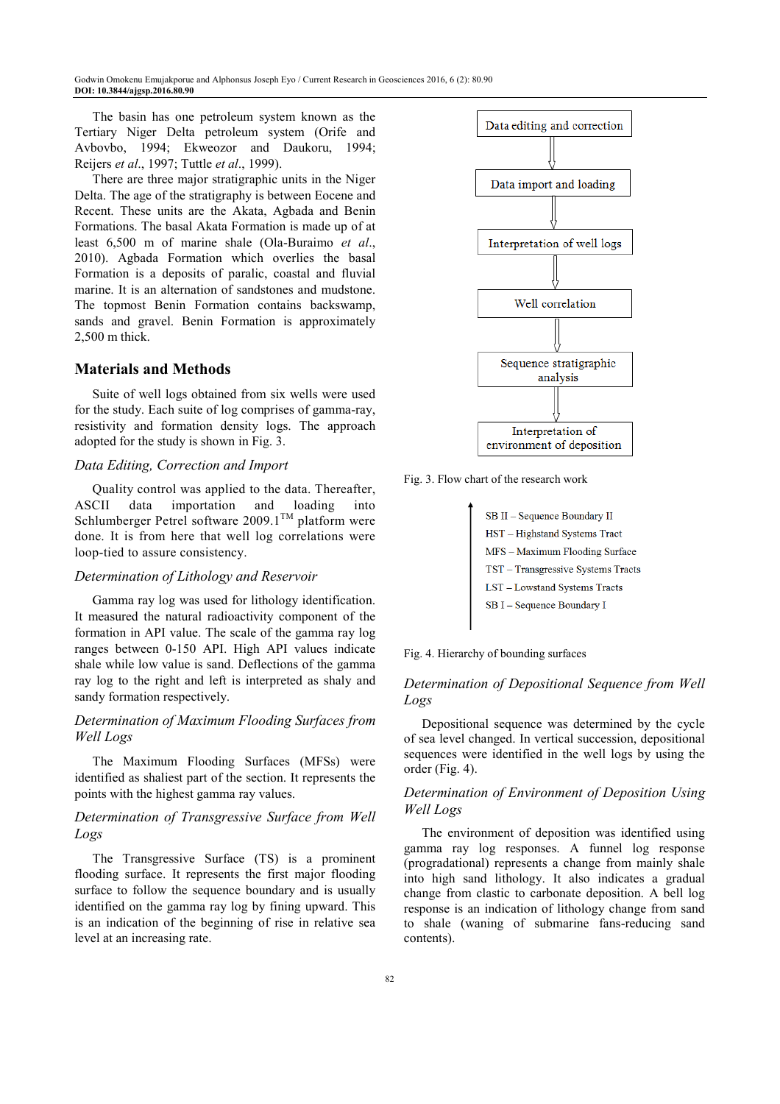Godwin Omokenu Emujakporue and Alphonsus Joseph Eyo / Current Research in Geosciences 2016, 6 (2): 80.90 **DOI: 10.3844/ajgsp.2016.80.90** 

The basin has one petroleum system known as the Tertiary Niger Delta petroleum system (Orife and Avbovbo, 1994; Ekweozor and Daukoru, 1994; Reijers *et al*., 1997; Tuttle *et al*., 1999).

There are three major stratigraphic units in the Niger Delta. The age of the stratigraphy is between Eocene and Recent. These units are the Akata, Agbada and Benin Formations. The basal Akata Formation is made up of at least 6,500 m of marine shale (Ola-Buraimo *et al*., 2010). Agbada Formation which overlies the basal Formation is a deposits of paralic, coastal and fluvial marine. It is an alternation of sandstones and mudstone. The topmost Benin Formation contains backswamp, sands and gravel. Benin Formation is approximately 2,500 m thick.

# **Materials and Methods**

Suite of well logs obtained from six wells were used for the study. Each suite of log comprises of gamma-ray, resistivity and formation density logs. The approach adopted for the study is shown in Fig. 3.

# *Data Editing, Correction and Import*

Quality control was applied to the data. Thereafter, ASCII data importation and loading into Schlumberger Petrel software  $2009.1^{TM}$  platform were done. It is from here that well log correlations were loop-tied to assure consistency.

#### *Determination of Lithology and Reservoir*

Gamma ray log was used for lithology identification. It measured the natural radioactivity component of the formation in API value. The scale of the gamma ray log ranges between 0-150 API. High API values indicate shale while low value is sand. Deflections of the gamma ray log to the right and left is interpreted as shaly and sandy formation respectively.

# *Determination of Maximum Flooding Surfaces from Well Logs*

The Maximum Flooding Surfaces (MFSs) were identified as shaliest part of the section. It represents the points with the highest gamma ray values.

# *Determination of Transgressive Surface from Well Logs*

The Transgressive Surface (TS) is a prominent flooding surface. It represents the first major flooding surface to follow the sequence boundary and is usually identified on the gamma ray log by fining upward. This is an indication of the beginning of rise in relative sea level at an increasing rate.



Fig. 3. Flow chart of the research work

SB II - Sequence Boundary II HST - Highstand Systems Tract MFS - Maximum Flooding Surface TST - Transgressive Systems Tracts LST - Lowstand Systems Tracts  ${\bf SB}$ I – Sequence Boundary I



# *Determination of Depositional Sequence from Well Logs*

Depositional sequence was determined by the cycle of sea level changed. In vertical succession, depositional sequences were identified in the well logs by using the order (Fig. 4).

# *Determination of Environment of Deposition Using Well Logs*

The environment of deposition was identified using gamma ray log responses. A funnel log response (progradational) represents a change from mainly shale into high sand lithology. It also indicates a gradual change from clastic to carbonate deposition. A bell log response is an indication of lithology change from sand to shale (waning of submarine fans-reducing sand contents).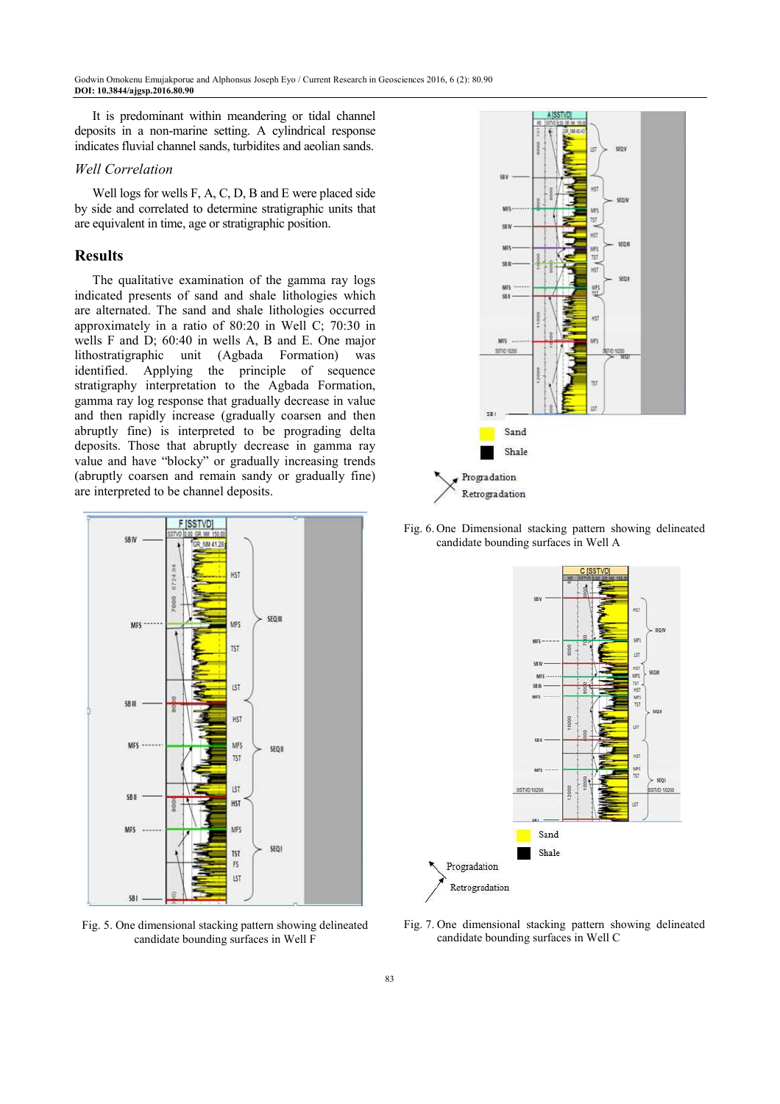It is predominant within meandering or tidal channel deposits in a non-marine setting. A cylindrical response indicates fluvial channel sands, turbidites and aeolian sands.

# *Well Correlation*

Well logs for wells F, A, C, D, B and E were placed side by side and correlated to determine stratigraphic units that are equivalent in time, age or stratigraphic position.

# **Results**

The qualitative examination of the gamma ray logs indicated presents of sand and shale lithologies which are alternated. The sand and shale lithologies occurred approximately in a ratio of 80:20 in Well C; 70:30 in wells F and D; 60:40 in wells A, B and E. One major lithostratigraphic unit (Agbada Formation) was identified. Applying the principle of sequence stratigraphy interpretation to the Agbada Formation, gamma ray log response that gradually decrease in value and then rapidly increase (gradually coarsen and then abruptly fine) is interpreted to be prograding delta deposits. Those that abruptly decrease in gamma ray value and have "blocky" or gradually increasing trends (abruptly coarsen and remain sandy or gradually fine) are interpreted to be channel deposits.



Fig. 5. One dimensional stacking pattern showing delineated candidate bounding surfaces in Well F



Fig. 6. One Dimensional stacking pattern showing delineated candidate bounding surfaces in Well A



Fig. 7. One dimensional stacking pattern showing delineated candidate bounding surfaces in Well C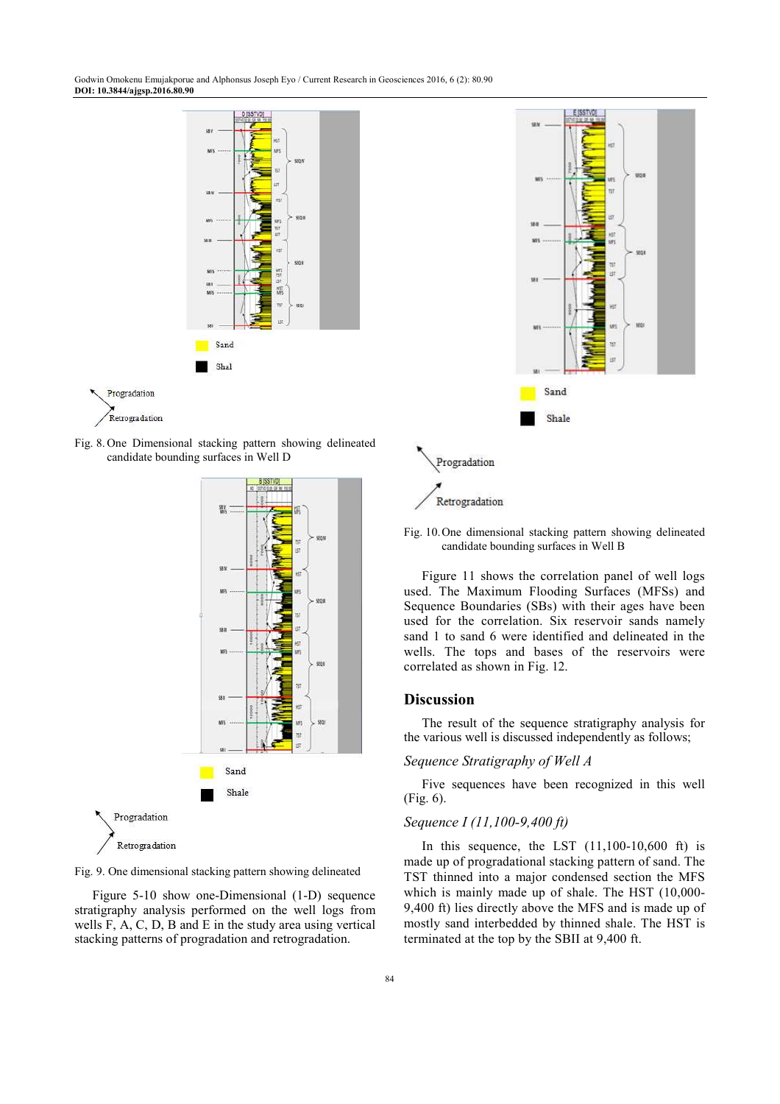

Fig. 8. One Dimensional stacking pattern showing delineated candidate bounding surfaces in Well D



Fig. 9. One dimensional stacking pattern showing delineated

Figure 5-10 show one-Dimensional (1-D) sequence stratigraphy analysis performed on the well logs from wells F, A, C, D, B and E in the study area using vertical stacking patterns of progradation and retrogradation.



Fig. 10. One dimensional stacking pattern showing delineated candidate bounding surfaces in Well B

Figure 11 shows the correlation panel of well logs used. The Maximum Flooding Surfaces (MFSs) and Sequence Boundaries (SBs) with their ages have been used for the correlation. Six reservoir sands namely sand 1 to sand 6 were identified and delineated in the wells. The tops and bases of the reservoirs were correlated as shown in Fig. 12.

# **Discussion**

Retrogradation

The result of the sequence stratigraphy analysis for the various well is discussed independently as follows;

#### *Sequence Stratigraphy of Well A*

Five sequences have been recognized in this well (Fig. 6).

# *Sequence I (11,100-9,400 ft)*

In this sequence, the LST  $(11,100-10,600)$  ft) is made up of progradational stacking pattern of sand. The TST thinned into a major condensed section the MFS which is mainly made up of shale. The HST (10,000- 9,400 ft) lies directly above the MFS and is made up of mostly sand interbedded by thinned shale. The HST is terminated at the top by the SBII at 9,400 ft.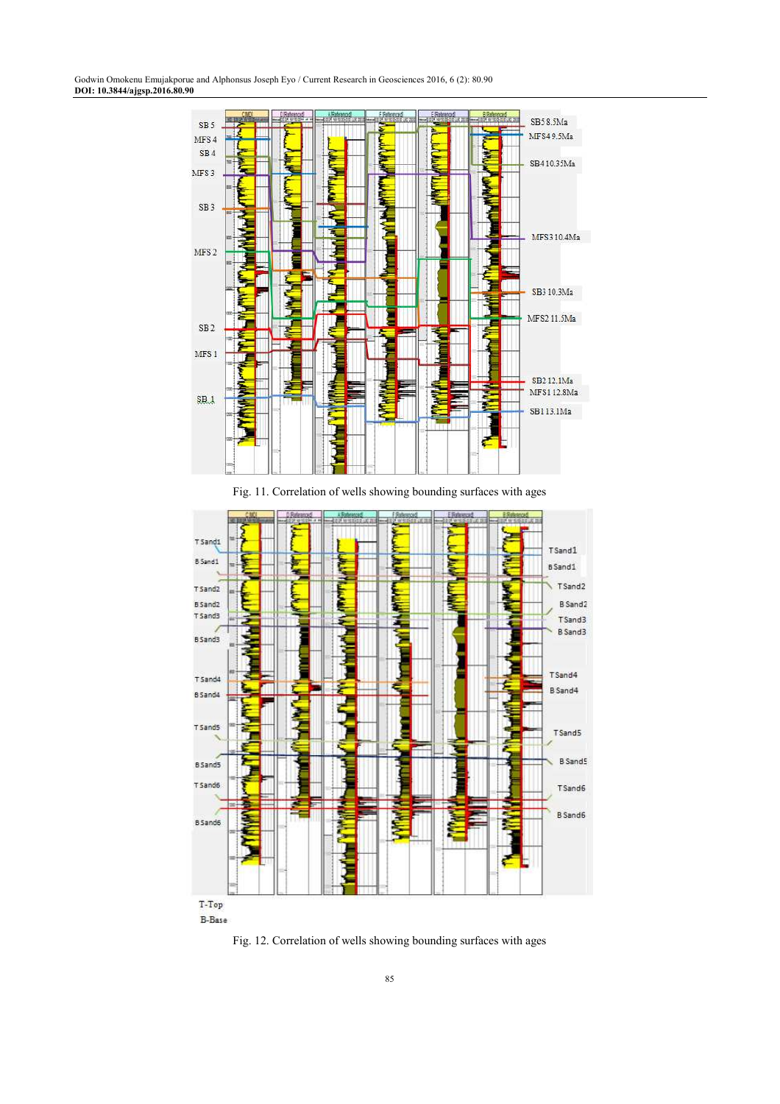Godwin Omokenu Emujakporue and Alphonsus Joseph Eyo / Current Research in Geosciences 2016, 6 (2): 80.90 **DOI: 10.3844/ajgsp.2016.80.90** 



Fig. 11. Correlation of wells showing bounding surfaces with ages



Fig. 12. Correlation of wells showing bounding surfaces with ages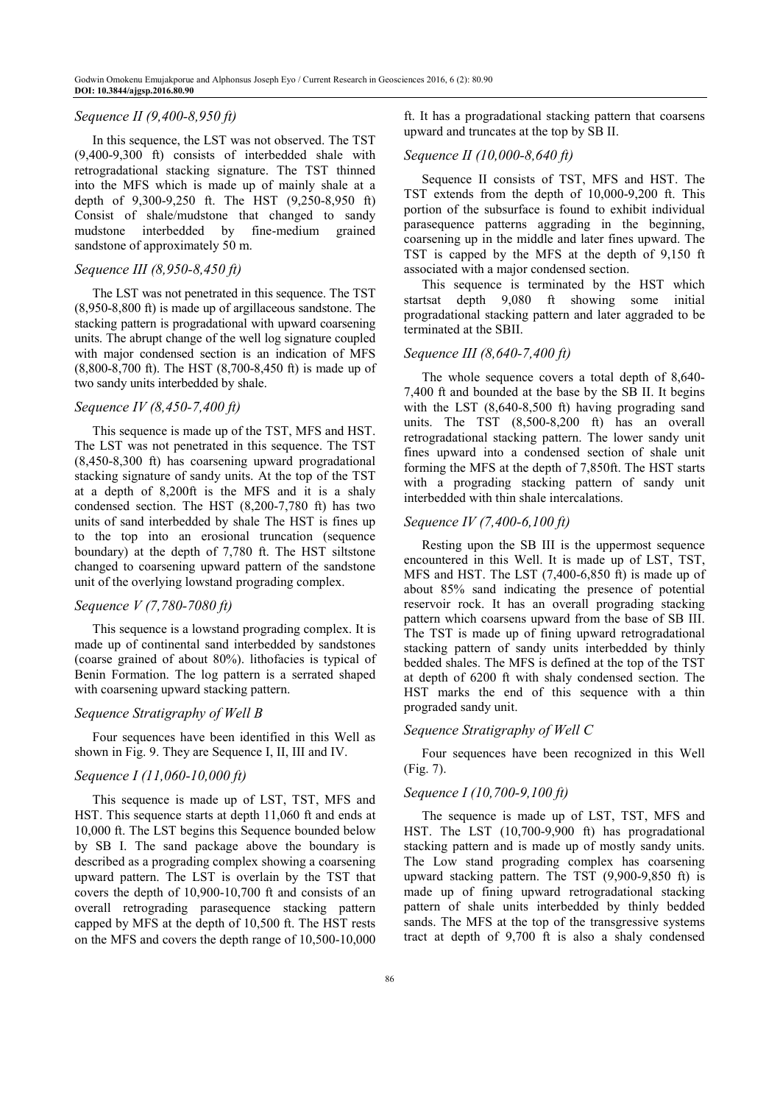#### *Sequence II (9,400-8,950 ft)*

In this sequence, the LST was not observed. The TST (9,400-9,300 ft) consists of interbedded shale with retrogradational stacking signature. The TST thinned into the MFS which is made up of mainly shale at a depth of 9,300-9,250 ft. The HST (9,250-8,950 ft) Consist of shale/mudstone that changed to sandy mudstone interbedded by fine-medium grained sandstone of approximately 50 m.

# *Sequence III (8,950-8,450 ft)*

The LST was not penetrated in this sequence. The TST (8,950-8,800 ft) is made up of argillaceous sandstone. The stacking pattern is progradational with upward coarsening units. The abrupt change of the well log signature coupled with major condensed section is an indication of MFS (8,800-8,700 ft). The HST (8,700-8,450 ft) is made up of two sandy units interbedded by shale.

# *Sequence IV (8,450-7,400 ft)*

This sequence is made up of the TST, MFS and HST. The LST was not penetrated in this sequence. The TST (8,450-8,300 ft) has coarsening upward progradational stacking signature of sandy units. At the top of the TST at a depth of 8,200ft is the MFS and it is a shaly condensed section. The HST (8,200-7,780 ft) has two units of sand interbedded by shale The HST is fines up to the top into an erosional truncation (sequence boundary) at the depth of 7,780 ft. The HST siltstone changed to coarsening upward pattern of the sandstone unit of the overlying lowstand prograding complex.

#### *Sequence V (7,780-7080 ft)*

This sequence is a lowstand prograding complex. It is made up of continental sand interbedded by sandstones (coarse grained of about 80%). lithofacies is typical of Benin Formation. The log pattern is a serrated shaped with coarsening upward stacking pattern.

#### *Sequence Stratigraphy of Well B*

Four sequences have been identified in this Well as shown in Fig. 9. They are Sequence I, II, III and IV.

#### *Sequence I (11,060-10,000 ft)*

This sequence is made up of LST, TST, MFS and HST. This sequence starts at depth 11,060 ft and ends at 10,000 ft. The LST begins this Sequence bounded below by SB I. The sand package above the boundary is described as a prograding complex showing a coarsening upward pattern. The LST is overlain by the TST that covers the depth of 10,900-10,700 ft and consists of an overall retrograding parasequence stacking pattern capped by MFS at the depth of 10,500 ft. The HST rests on the MFS and covers the depth range of 10,500-10,000 ft. It has a progradational stacking pattern that coarsens upward and truncates at the top by SB II.

# *Sequence II (10,000-8,640 ft)*

Sequence II consists of TST, MFS and HST. The TST extends from the depth of 10,000-9,200 ft. This portion of the subsurface is found to exhibit individual parasequence patterns aggrading in the beginning, coarsening up in the middle and later fines upward. The TST is capped by the MFS at the depth of 9,150 ft associated with a major condensed section.

This sequence is terminated by the HST which startsat depth 9,080 ft showing some initial progradational stacking pattern and later aggraded to be terminated at the SBII.

# *Sequence III (8,640-7,400 ft)*

The whole sequence covers a total depth of 8,640- 7,400 ft and bounded at the base by the SB II. It begins with the LST (8,640-8,500 ft) having prograding sand units. The TST (8,500-8,200 ft) has an overall retrogradational stacking pattern. The lower sandy unit fines upward into a condensed section of shale unit forming the MFS at the depth of 7,850ft. The HST starts with a prograding stacking pattern of sandy unit interbedded with thin shale intercalations.

#### *Sequence IV (7,400-6,100 ft)*

Resting upon the SB III is the uppermost sequence encountered in this Well. It is made up of LST, TST, MFS and HST. The LST (7,400-6,850 ft) is made up of about 85% sand indicating the presence of potential reservoir rock. It has an overall prograding stacking pattern which coarsens upward from the base of SB III. The TST is made up of fining upward retrogradational stacking pattern of sandy units interbedded by thinly bedded shales. The MFS is defined at the top of the TST at depth of 6200 ft with shaly condensed section. The HST marks the end of this sequence with a thin prograded sandy unit.

## *Sequence Stratigraphy of Well C*

Four sequences have been recognized in this Well (Fig. 7).

#### *Sequence I (10,700-9,100 ft)*

The sequence is made up of LST, TST, MFS and HST. The LST (10,700-9,900 ft) has progradational stacking pattern and is made up of mostly sandy units. The Low stand prograding complex has coarsening upward stacking pattern. The TST (9,900-9,850 ft) is made up of fining upward retrogradational stacking pattern of shale units interbedded by thinly bedded sands. The MFS at the top of the transgressive systems tract at depth of 9,700 ft is also a shaly condensed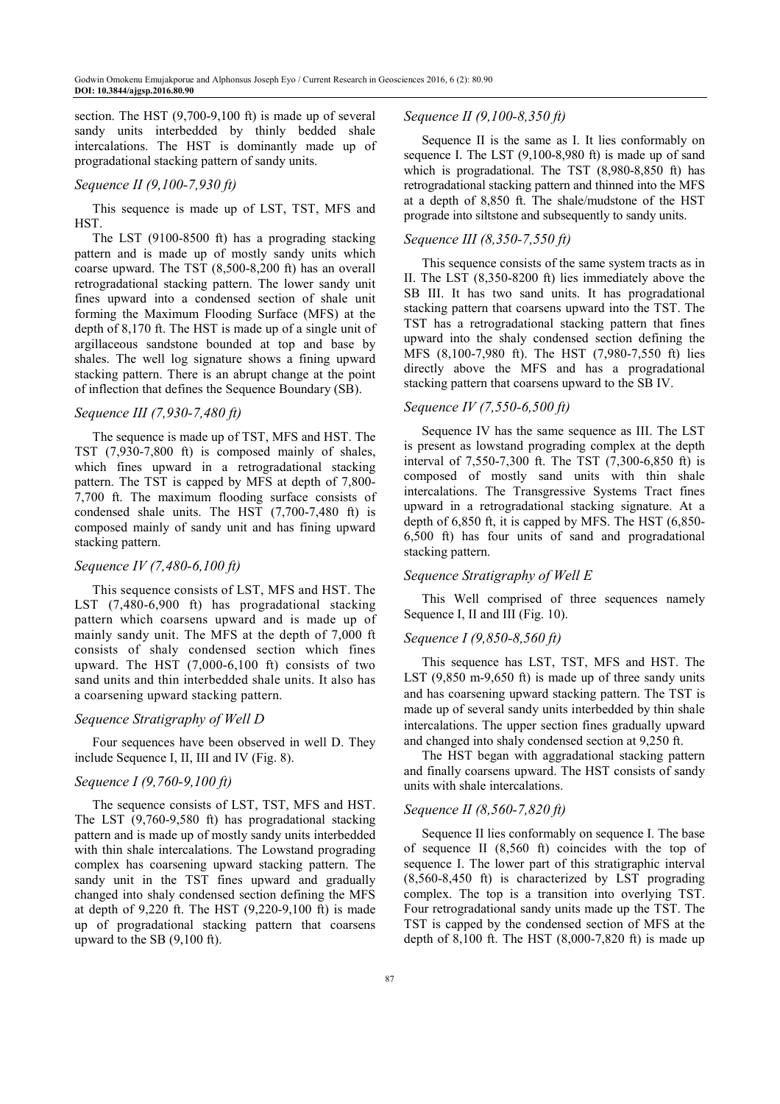section. The HST (9,700-9,100 ft) is made up of several sandy units interbedded by thinly bedded shale intercalations. The HST is dominantly made up of progradational stacking pattern of sandy units.

#### *Sequence II (9,100-7,930 ft)*

This sequence is made up of LST, TST, MFS and **HST** 

The LST (9100-8500 ft) has a prograding stacking pattern and is made up of mostly sandy units which coarse upward. The TST (8,500-8,200 ft) has an overall retrogradational stacking pattern. The lower sandy unit fines upward into a condensed section of shale unit forming the Maximum Flooding Surface (MFS) at the depth of 8,170 ft. The HST is made up of a single unit of argillaceous sandstone bounded at top and base by shales. The well log signature shows a fining upward stacking pattern. There is an abrupt change at the point of inflection that defines the Sequence Boundary (SB).

# *Sequence III (7,930-7,480 ft)*

The sequence is made up of TST, MFS and HST. The TST (7,930-7,800 ft) is composed mainly of shales, which fines upward in a retrogradational stacking pattern. The TST is capped by MFS at depth of 7,800- 7,700 ft. The maximum flooding surface consists of condensed shale units. The HST (7,700-7,480 ft) is composed mainly of sandy unit and has fining upward stacking pattern.

# *Sequence IV (7,480-6,100 ft)*

This sequence consists of LST, MFS and HST. The LST (7,480-6,900 ft) has progradational stacking pattern which coarsens upward and is made up of mainly sandy unit. The MFS at the depth of 7,000 ft consists of shaly condensed section which fines upward. The HST  $(7,000-6,100)$  ft) consists of two sand units and thin interbedded shale units. It also has a coarsening upward stacking pattern.

#### *Sequence Stratigraphy of Well D*

Four sequences have been observed in well D. They include Sequence I, II, III and IV (Fig. 8).

# *Sequence I (9,760-9,100 ft)*

The sequence consists of LST, TST, MFS and HST. The LST (9,760-9,580 ft) has progradational stacking pattern and is made up of mostly sandy units interbedded with thin shale intercalations. The Lowstand prograding complex has coarsening upward stacking pattern. The sandy unit in the TST fines upward and gradually changed into shaly condensed section defining the MFS at depth of 9,220 ft. The HST (9,220-9,100 ft) is made up of progradational stacking pattern that coarsens upward to the SB (9,100 ft).

#### *Sequence II (9,100-8,350 ft)*

Sequence II is the same as I. It lies conformably on sequence I. The LST (9,100-8,980 ft) is made up of sand which is progradational. The TST (8,980-8,850 ft) has retrogradational stacking pattern and thinned into the MFS at a depth of 8,850 ft. The shale/mudstone of the HST prograde into siltstone and subsequently to sandy units.

# *Sequence III (8,350-7,550 ft)*

This sequence consists of the same system tracts as in II. The LST (8,350-8200 ft) lies immediately above the SB III. It has two sand units. It has progradational stacking pattern that coarsens upward into the TST. The TST has a retrogradational stacking pattern that fines upward into the shaly condensed section defining the MFS (8,100-7,980 ft). The HST (7,980-7,550 ft) lies directly above the MFS and has a progradational stacking pattern that coarsens upward to the SB IV.

# *Sequence IV (7,550-6,500 ft)*

Sequence IV has the same sequence as III. The LST is present as lowstand prograding complex at the depth interval of 7,550-7,300 ft. The TST (7,300-6,850 ft) is composed of mostly sand units with thin shale intercalations. The Transgressive Systems Tract fines upward in a retrogradational stacking signature. At a depth of 6,850 ft, it is capped by MFS. The HST (6,850- 6,500 ft) has four units of sand and progradational stacking pattern.

#### *Sequence Stratigraphy of Well E*

This Well comprised of three sequences namely Sequence I, II and III (Fig. 10).

#### *Sequence I (9,850-8,560 ft)*

This sequence has LST, TST, MFS and HST. The LST  $(9,850 \text{ m}-9,650 \text{ ft})$  is made up of three sandy units and has coarsening upward stacking pattern. The TST is made up of several sandy units interbedded by thin shale intercalations. The upper section fines gradually upward and changed into shaly condensed section at 9,250 ft.

The HST began with aggradational stacking pattern and finally coarsens upward. The HST consists of sandy units with shale intercalations.

# *Sequence II (8,560-7,820 ft)*

Sequence II lies conformably on sequence I. The base of sequence II (8,560 ft) coincides with the top of sequence I. The lower part of this stratigraphic interval (8,560-8,450 ft) is characterized by LST prograding complex. The top is a transition into overlying TST. Four retrogradational sandy units made up the TST. The TST is capped by the condensed section of MFS at the depth of  $8,100$  ft. The HST  $(8,000-7,820)$  ft) is made up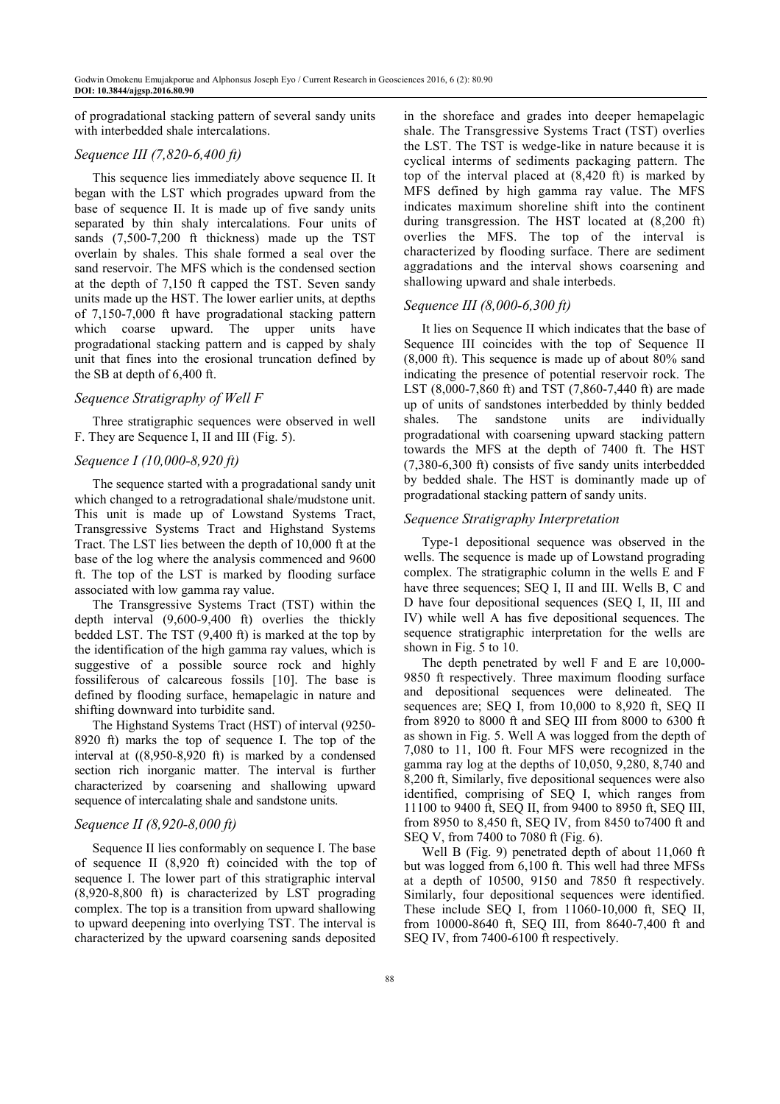of progradational stacking pattern of several sandy units with interbedded shale intercalations.

# *Sequence III (7,820-6,400 ft)*

This sequence lies immediately above sequence II. It began with the LST which progrades upward from the base of sequence II. It is made up of five sandy units separated by thin shaly intercalations. Four units of sands (7,500-7,200 ft thickness) made up the TST overlain by shales. This shale formed a seal over the sand reservoir. The MFS which is the condensed section at the depth of 7,150 ft capped the TST. Seven sandy units made up the HST. The lower earlier units, at depths of 7,150-7,000 ft have progradational stacking pattern which coarse upward. The upper units have progradational stacking pattern and is capped by shaly unit that fines into the erosional truncation defined by the SB at depth of 6,400 ft.

# *Sequence Stratigraphy of Well F*

Three stratigraphic sequences were observed in well F. They are Sequence I, II and III (Fig. 5).

# *Sequence I (10,000-8,920 ft)*

The sequence started with a progradational sandy unit which changed to a retrogradational shale/mudstone unit. This unit is made up of Lowstand Systems Tract, Transgressive Systems Tract and Highstand Systems Tract. The LST lies between the depth of 10,000 ft at the base of the log where the analysis commenced and 9600 ft. The top of the LST is marked by flooding surface associated with low gamma ray value.

The Transgressive Systems Tract (TST) within the depth interval (9,600-9,400 ft) overlies the thickly bedded LST. The TST (9,400 ft) is marked at the top by the identification of the high gamma ray values, which is suggestive of a possible source rock and highly fossiliferous of calcareous fossils [10]. The base is defined by flooding surface, hemapelagic in nature and shifting downward into turbidite sand.

The Highstand Systems Tract (HST) of interval (9250- 8920 ft) marks the top of sequence I. The top of the interval at ((8,950-8,920 ft) is marked by a condensed section rich inorganic matter. The interval is further characterized by coarsening and shallowing upward sequence of intercalating shale and sandstone units.

# *Sequence II (8,920-8,000 ft)*

Sequence II lies conformably on sequence I. The base of sequence II (8,920 ft) coincided with the top of sequence I. The lower part of this stratigraphic interval (8,920-8,800 ft) is characterized by LST prograding complex. The top is a transition from upward shallowing to upward deepening into overlying TST. The interval is characterized by the upward coarsening sands deposited

in the shoreface and grades into deeper hemapelagic shale. The Transgressive Systems Tract (TST) overlies the LST. The TST is wedge-like in nature because it is cyclical interms of sediments packaging pattern. The top of the interval placed at (8,420 ft) is marked by MFS defined by high gamma ray value. The MFS indicates maximum shoreline shift into the continent during transgression. The HST located at (8,200 ft) overlies the MFS. The top of the interval is characterized by flooding surface. There are sediment aggradations and the interval shows coarsening and shallowing upward and shale interbeds.

# *Sequence III (8,000-6,300 ft)*

It lies on Sequence II which indicates that the base of Sequence III coincides with the top of Sequence II (8,000 ft). This sequence is made up of about 80% sand indicating the presence of potential reservoir rock. The LST (8,000-7,860 ft) and TST (7,860-7,440 ft) are made up of units of sandstones interbedded by thinly bedded shales. The sandstone units are individually progradational with coarsening upward stacking pattern towards the MFS at the depth of 7400 ft. The HST (7,380-6,300 ft) consists of five sandy units interbedded by bedded shale. The HST is dominantly made up of progradational stacking pattern of sandy units.

# *Sequence Stratigraphy Interpretation*

Type-1 depositional sequence was observed in the wells. The sequence is made up of Lowstand prograding complex. The stratigraphic column in the wells E and F have three sequences; SEQ I, II and III. Wells B, C and D have four depositional sequences (SEQ I, II, III and IV) while well A has five depositional sequences. The sequence stratigraphic interpretation for the wells are shown in Fig. 5 to 10.

The depth penetrated by well F and E are 10,000- 9850 ft respectively. Three maximum flooding surface and depositional sequences were delineated. The sequences are; SEQ I, from 10,000 to 8,920 ft, SEQ II from 8920 to 8000 ft and SEQ III from 8000 to 6300 ft as shown in Fig. 5. Well A was logged from the depth of 7,080 to 11, 100 ft. Four MFS were recognized in the gamma ray log at the depths of 10,050, 9,280, 8,740 and 8,200 ft, Similarly, five depositional sequences were also identified, comprising of SEQ I, which ranges from 11100 to 9400 ft, SEQ II, from 9400 to 8950 ft, SEQ III, from 8950 to 8,450 ft, SEQ IV, from 8450 to7400 ft and SEQ V, from 7400 to 7080 ft (Fig. 6).

Well B (Fig. 9) penetrated depth of about 11,060 ft but was logged from 6,100 ft. This well had three MFSs at a depth of 10500, 9150 and 7850 ft respectively. Similarly, four depositional sequences were identified. These include SEQ I, from 11060-10,000 ft, SEQ II, from 10000-8640 ft, SEQ III, from 8640-7,400 ft and SEQ IV, from 7400-6100 ft respectively.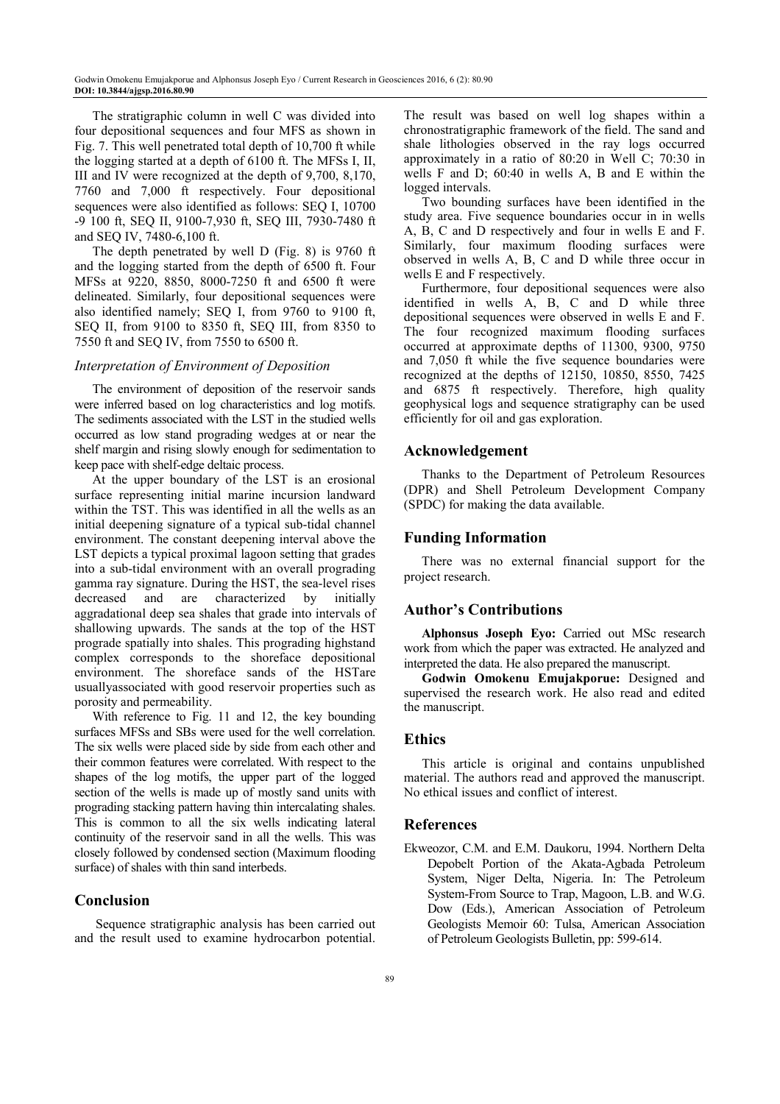The stratigraphic column in well C was divided into four depositional sequences and four MFS as shown in Fig. 7. This well penetrated total depth of 10,700 ft while the logging started at a depth of 6100 ft. The MFSs I, II, III and IV were recognized at the depth of 9,700, 8,170, 7760 and 7,000 ft respectively. Four depositional sequences were also identified as follows: SEQ I, 10700 -9 100 ft, SEQ II, 9100-7,930 ft, SEQ III, 7930-7480 ft and SEQ IV, 7480-6,100 ft.

The depth penetrated by well D (Fig. 8) is 9760 ft and the logging started from the depth of 6500 ft. Four MFSs at 9220, 8850, 8000-7250 ft and 6500 ft were delineated. Similarly, four depositional sequences were also identified namely; SEQ I, from 9760 to 9100 ft, SEQ II, from 9100 to 8350 ft, SEQ III, from 8350 to 7550 ft and SEQ IV, from 7550 to 6500 ft.

#### *Interpretation of Environment of Deposition*

The environment of deposition of the reservoir sands were inferred based on log characteristics and log motifs. The sediments associated with the LST in the studied wells occurred as low stand prograding wedges at or near the shelf margin and rising slowly enough for sedimentation to keep pace with shelf-edge deltaic process.

At the upper boundary of the LST is an erosional surface representing initial marine incursion landward within the TST. This was identified in all the wells as an initial deepening signature of a typical sub-tidal channel environment. The constant deepening interval above the LST depicts a typical proximal lagoon setting that grades into a sub-tidal environment with an overall prograding gamma ray signature. During the HST, the sea-level rises decreased and are characterized by initially aggradational deep sea shales that grade into intervals of shallowing upwards. The sands at the top of the HST prograde spatially into shales. This prograding highstand complex corresponds to the shoreface depositional environment. The shoreface sands of the HSTare usuallyassociated with good reservoir properties such as porosity and permeability.

With reference to Fig. 11 and 12, the key bounding surfaces MFSs and SBs were used for the well correlation. The six wells were placed side by side from each other and their common features were correlated. With respect to the shapes of the log motifs, the upper part of the logged section of the wells is made up of mostly sand units with prograding stacking pattern having thin intercalating shales. This is common to all the six wells indicating lateral continuity of the reservoir sand in all the wells. This was closely followed by condensed section (Maximum flooding surface) of shales with thin sand interbeds.

# **Conclusion**

 Sequence stratigraphic analysis has been carried out and the result used to examine hydrocarbon potential.

The result was based on well log shapes within a chronostratigraphic framework of the field. The sand and shale lithologies observed in the ray logs occurred approximately in a ratio of 80:20 in Well C; 70:30 in wells F and D; 60:40 in wells A, B and E within the logged intervals.

Two bounding surfaces have been identified in the study area. Five sequence boundaries occur in in wells A, B, C and D respectively and four in wells E and F. Similarly, four maximum flooding surfaces were observed in wells A, B, C and D while three occur in wells E and F respectively.

Furthermore, four depositional sequences were also identified in wells A, B, C and D while three depositional sequences were observed in wells E and F. The four recognized maximum flooding surfaces occurred at approximate depths of 11300, 9300, 9750 and 7,050 ft while the five sequence boundaries were recognized at the depths of 12150, 10850, 8550, 7425 and 6875 ft respectively. Therefore, high quality geophysical logs and sequence stratigraphy can be used efficiently for oil and gas exploration.

#### **Acknowledgement**

Thanks to the Department of Petroleum Resources (DPR) and Shell Petroleum Development Company (SPDC) for making the data available.

# **Funding Information**

There was no external financial support for the project research.

#### **Author's Contributions**

**Alphonsus Joseph Eyo:** Carried out MSc research work from which the paper was extracted. He analyzed and interpreted the data. He also prepared the manuscript.

**Godwin Omokenu Emujakporue:** Designed and supervised the research work. He also read and edited the manuscript.

# **Ethics**

This article is original and contains unpublished material. The authors read and approved the manuscript. No ethical issues and conflict of interest.

# **References**

Ekweozor, C.M. and E.M. Daukoru, 1994. Northern Delta Depobelt Portion of the Akata-Agbada Petroleum System, Niger Delta, Nigeria. In: The Petroleum System-From Source to Trap, Magoon, L.B. and W.G. Dow (Eds.), American Association of Petroleum Geologists Memoir 60: Tulsa, American Association of Petroleum Geologists Bulletin, pp: 599-614.